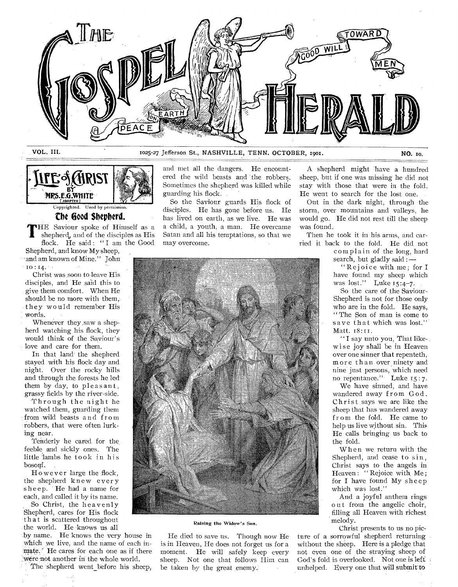



# **the Good Shepherd.**

THE Saviour spoke of Himself as a shepherd, and of the disciples as His flock. He said: "I am the Good Shepherd, and know My sheep, • and am known of Mine." John

to: 14. • Christ was soon to leave His

disciples, and He said this to give them comfort. When He should be no more with them, they would remember His words.

Whenever they saw a shepherd watching his flock, they would think of the Saviour's love and care for them.

In that land the shepherd Stayed with his flock day and night. Over the rocky hills and through the forests he led them by day, to pleasant, grassy fields by the river-side.

Through the night he watched them, guarding them from wild beasts and from robbers, that were often lurking near.

Tenderly he cared for the. feeble and sickly ones. The little lambs he took in his bosom.

However large the flock, the shepherd knew ever y sheep. He had a name for each, and called it by its name.

So Christ, the heavenly Shepherd, cares for His flock that is scattered throughout the world. He knows us all

by name. He knows the very house in which we live, and the name of each in $m$ ate. $\gamma$  He cares for each one as if there 'were-not another in the whole world.

The shepherd went before his sheep,

and met all the dangers. He encountered the wild beasts and the robbers. Sometimes the shepherd was killed while guarding his flock.

So the Saviour guards His flock of disciples. He has gone before us. He has lived on earth, as we live. He was a child, a youth, a man. He overcame Satan and all his temptations, so that we may overcome.

A shepherd might have a hundred sheep, but if one was missing he did not stay with those that were in the fold. He went to search for the lost one.

Out in the dark night, through the storm, over mountains and valleys, he would go. He did not rest till the sheep was found.

Then he took it in his arms, and carried it back to the fold. He did not

complain of the long, hard search, but gladly said: —

"Rejoice with me; for I have found my sheep which was lost." Luke 15:4-7.

So the care of the Saviour-Shepherd is not for those only who are in the fold. He says, " The Son of man is come to save that which was lost." Matt. 18:11.

" I say unto you, That likewise joy shall be in Heaven over one sinner that repenteth, more than over ninety and nine just persons, which need no repentance." Luke i5 : 7.

We have sinned, and have wandered away from God. Christ says we are like the sheep that has wandered away from the fold. He came to help us live without sin. This He calls bringing us back to the fold.

When we return with the Shepherd, and cease to sin, Christ says to the angels in Heaven: "Rejoice with Me; for I have found My sheep which was lost."

And a joyful anthem rings out from the angelic choir, filling all Heaven with richest melody.

Christ presents to us no picture of a sorrowful shepherd returning without the sheep. Here is a pledge that not even one of the straying sheep of God's fold is overlooked. Not one is left: unhelped. Every one that will submit to



Raising the Widow's Son.

He died to save us. Though now He is in Heaven, He does not forget us for a moment. He will safely keep every sheep. Not one that follows Him can be taken by the great enemy.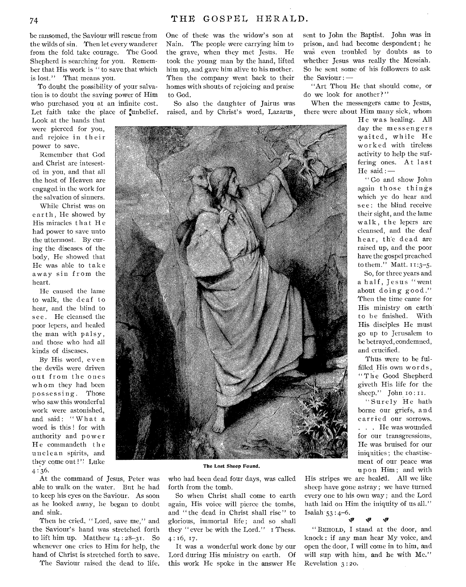be ransomed, the Saviour will rescue from the wilds of sin. Then let every wanderer from the fold take courage. The Good Shepherd is searching for you. Remember that His work is " to save that which is lost." That means you.

To doubt the possibility of your salvation is to doubt the saving power of Him who purchased you at an infinite cost. Let faith take the place of tunbelief.

Look at the hands that were pierced for you, and rejoice in their power to save.

Remember that God and Christ are intesested in you, and that all the host of Heaven are engaged in the work for the salvation of sinners.

While Christ was on earth, He showed by His miracles that He had power to save unto the uttermost. By curing the diseases of the body, He showed that He was able to take away sin from the heart.

He caused the lame to walk, the deaf to hear, and the blind to see. He cleansed the poor lepers, and healed the man with palsy , and those who had all kinds of diseases.

By His word, even the devils were driven out from the ones whom they had been possessing. Those who saw this wonderful work were astonished, and said: "What a word is this ! for with authority and power He commandeth the uncle an spirits, and they come out !'! Luke  $4:36.$ 

At the command of Jesus, Peter was able to walk on the water. But he had to keep his eyes on the Saviour. As soon as he looked away, he began to doubt and sink.

Then he cried, "Lord, save me," and the Saviour's hand was stretched forth to lift him up. Matthew 14 : 28-31. So whenever one cries to Him for help, the hand of Christ is stretched forth to save.

The Saviour raised the dead to life.

One of these was the widow's son at to God.

sent to John the Baptist. John was in prison, and had become despondent ; he was even troubled by doubts as to whether Jesus was really the Messiah. So he sent some of his followers to ask the Saviour : —

"Art Thou He that should come, or do we look for another? "

When the messengers came to Jesus, there were about Him many sick, whom

> He was healing. All day the messengers waited, while He worked with tireless activity to help the suffering ones. At last He said : -

> " Go and show John again those things which ye do hear and see: the blind receive their sight, and the lame walk, the lepers are cleansed, and the deaf hear, th'e dead are raised up, and the poor have the gospel preached to them." Matt. II:3-5.

> So, for three years and a half, Jesus "went about doing good." Then the time came for His ministry on earth to be finished. With His disciples He must go up to Jerusalem to be betrayed, condemned, and crucified.

> Thus were to be fulfilled His own words , `The Good Shepherd giveth His life for the sheep." John 10:11.

> "Surely He hath borne our griefs, and carried our sorrows. . . . He was wounded for our transgressions, He was bruised for our iniquities ; the chastisement of our peace was upon Him; and with

The Lost Sheep Found.

who had been dead four days, was called forth from the tomb.

So when Christ shall come to earth again, His voice will pierce the tombs, and "the dead in Christ shall rise" to glorious, immortal life; and so shall they " ever be with the Lord." I Thess. 4 : 16,17.

It was a wonderful work done by our Lord during His ministry on earth. Of this work He spoke in the answer He

His stripes we are healed. All we like sheep have gone astray ; we have turned every one to his own way ; and the Lord hath laid on Him the iniquity of us all." Isaiah  $53 : 4-6$ .

" BEHOLD, I stand at the door, and knock : if any man hear My voice, and open the door, I will come in to him, and will sup with him, and he with Me." Revelation 3 : 20.

 $\mathbf{w}$ 

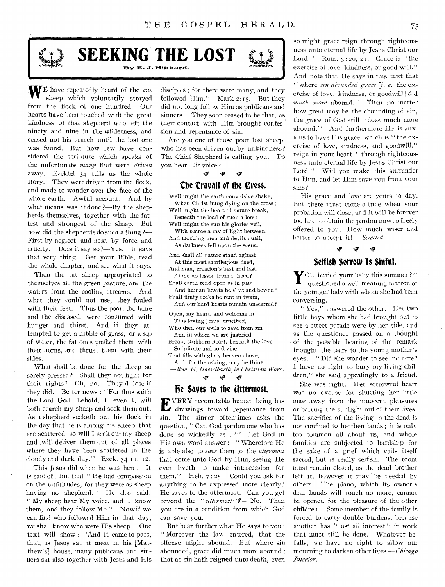

**SEEKING THE LOST** 

WE have repeatedly heard of the *one*  sheep which voluntarily strayed from the flock of one hundred. Our hearts have been touched with the great kindness of that shepherd who left the ninety and nine in the wilderness, and ceased not his search until the lost one was found. But how few have considered the scripture which speaks of the unfortunate *many* that were *driven*  away. Ezekiel 34 tells us the whole story. They were driven from the flock, and made to wander over the face of the whole earth. Awful account! And by what means was it done ?—By the shepherds themselves, together with the fattest and strongest of the sheep. But how did the shepherds do such a thing ?— First by neglect, and next by force and cruelty. Does it say so ?—Yes. It says that very thing. Get your Bible, read the whole chapter, and see what it says.

Then the fat sheep appropriated to themselves all the green pasture, and the waters from the cooling streams. And what they could not use, they fouled with their feet. Thus the poor, the lame and the diseased, were consumed with hunger and thirst. And if they attempted to get a nibble of grass, or a sip of water, the fat ones pushed them with their horns, and thrust them with their sides.

What shall be done for the sheep so sorely pressed? Shall they not fight for their rights ?—Oh, no. They'd lose if they did. Better news : "For thus saith the Lord God, Behold, I, even I, will both search my sheep and seek them out. As a shepherd seeketh out his flock in the day that he is among his sheep that are scattered, so will I seek out my sheep and ,will deliver them out of all places where they have been scattered in the cloudy and dark day." Ezek. 34:11, 12.

This Jesus did when he was here. It is said of Him that " He had compassion on the multitudes, for they were as sheep having no shepherd." He also said: " My sheep hear My voice, and I know them, and they follow Me." Now if we can find who followed Him in that day, we shall know who were His sheep. One text will show : "And it came to pass, that, as Jesus sat at meat in his [Matthew's] house, many publicans and sinners sat also together with Jesus and His

disciples ; for there were many, and they followed Him." Mark  $2:15$ . But they did not long follow Him as publicans and sinners. They soon ceased to be that, as their contact with Him brought confession and repentance of sin.

Are you one of those poor lost sheep, who has been driven out by unkindness ? The Chief Shepherd is calling you. Do you hear His voice ?

#### iv IP

### **the travail of the cross.**

Well might the earth convulsive shake, When Christ hung dying on the cross ; Well might the heart of nature break, Beneath the load of such a loss ; Well might the sun his glories veil,

With scarce a ray of light between,

And mocking men and devils quail, As darkness fell upon the scene.

And shall all nature stand aghast At this most sacrilegious deed,

And man, creation's best and last, Alone no lesson from it heed?

Shall earth rend open as in pain,

And human hearts be shut and bowed? Shall flinty rocks be rent in twain,

And our hard hearts remain unscarred?

Open, my heart, and welcome in This loving Jesus, crucified,

Who died our souls to save from sin And in whom we are justified.

Break, stubborn heart, beneath the love So infinite and so divine,

That fills with glory heaven above,

And, for the asking, may be thine. — *Wm. G. Haeselbarth, in Christian Work.* 

'p tti

### **he Saves to the Uttermost.**

EVERY accountable human being has<br>drawings toward repentance from VERY accountable human being has sin. The sinner oftentimes asks the question, " Can God pardon one who has done so wickedly as I?" Let God in His own word answer : " Wherefore He is able also to *save* them to the *uttermost*  that come unto God by Him, seeing He ever liveth to make intercession for them." Heb. 7 : 25. Could you ask for anything to be expressed more clearly? He saves to the uttermost. Can you get beyond the "uttermost"? - No. Then you are in a condition from which God can save you.

But hear further what He says to you : " Moreover the law entered, that the offense might abound. But where sin abounded, grace did much more abound ; that as sin hath reigned unto death, even

so might grace reign through righteousness unto eternal life by Jesus Christ our Lord." Rom.  $5:20$ , 21. Grace is "the exercise of love, kindness, or good will." And note that He says in this text that "where *sin abounded grace [i. e.* the exercise of love, kindness, or goodwill] did *much more* abound." Then no matter how great may be the abounding of sin, the grace of God still " does much more abound." And furthermore He is anxious to have His grace, which is " the exercise of love, kindness, and goodwill," reign in your heart " through righteousness unto eternal life by Jesus Christ our Lord." Will you make this surrender to Him, and let Him save you from your sins?

His grace and love are yours to day. But there must come a time when your probation will close, and it will be forever too late to obtain the pardon now so freely offered to you. How much wiser and better to accept it!-Selected.

# **Selfish Sorrow Is Sinful.**

Ŵ

43'

**7** OU buried your baby this summer?" questioned a well-meaning matron of the younger lady with whom she had been conversing.

" Yes," answered the other. Her two little boys whom she had brought out to see a street parade were by her side, and as the questioner passed on a thought of the possible bearing of the remark brought the tears to the young mother's eyes. " Did she wonder to see me here? I have no right to bury my living children," she said appealingly to a friend.

She was right. Her sorrowful heart was no excuse for shutting her little ones away from the innocent pleasures or barring the sunlight out of their lives. The sacrifice of the living to the dead is not confined to heathen lands ; it is only too common all about us, and whole families are subjected to hardship for the sake of a grief which calls itself sacred, but is really selfish. The room must remain closed, as the dead brother left it, however it may be needed by others. The piano, which its owner's dear hands will touch no more, cannot be opened for the pleasure of the other children. Some member of the family is forced to carry double burdens, because another has "lost all interest" in work that must still be done. Whatever befalls, we have no right to allow our mourning to darken other *lives.—Chicago Interior.*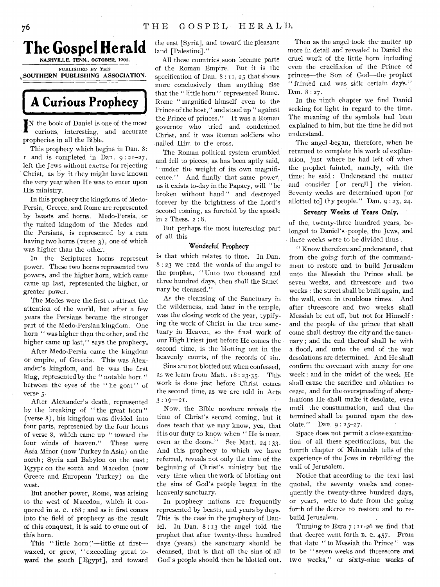

# **A Curious Prophecy**

IN the book of Daniel is one of the most<br>curious, interesting, and accurate curious, interesting, and accurate prophecies in all the Bible.

This prophecy which begins in Dan. 8:  $\bar{r}$  and is completed in Dan.  $9:2I-27$ , left the Jews without excuse for rejecting Christ, as by it they might have known the very year when He was to enter upon His ministry.

In this prophecy the kingdoms of Medo-Persia, Greece, and Rome are represented by beasts and horns. Medo-Persia, , or the united kingdom of the Medes and the Persians, is represented by a ram having two horns (verse 3), one of which was higher than the other.

In the Scriptures horns represent power. These two horns represented two powers, and the higher horn, which came came up last, represented the higher, or greater power.

The Medes were the first to attract the attention of the world, but after a few years the Persians became the stronger part of the Medo-Persian kingdom. One horn " was higher than the other, and the higher came up last," says the prophecy.

After Medo-Persia came the kingdom or empire, of Greecia. This was Alexander's kingdom, and he was the first king, represented by the " notable horn " between the eyes of the " he goat" of verse 5.

After Alexander's death, represented by the breaking of "the great horn" (verse 8), his kingdom was divided into four parts, represented by the four horns of verse 8, which came up " toward the four winds of heaven." These were Asia Minor (now Turkey in Asia) on the north ; Syria and Babylon on the east ; Egypt on the south and Macedon (now Greece and European Turkey) on the west.

But another power, Rome, was arising to the west of Macedon, which it conquered in B. C. 168 ; and as it first comes into the field of prophecy as the result of this conquest, it is said to come out of this horn.

This "little horn"-little at firstwaxed, or grew, " exceeding great toward the south [Egypt], and toward

the east [Syria], and toward the pleasant land [Palestine]."

All these countries, soon- became, parts of the Roman Empire. But it is the specification of Dan. 8: 11, 25 that shows more conclusively than anything else that the " little horn " represented Rome. Rome " magnified himself even to the Prince of the host," and stood up " against the Prince of princes." It was a Roman governor who tried and condenined Christ, and it was Roman soldiers who nailed Him to the cross.

The Roman political system crumbled and fell to pieces, as has been aptly said, " under the weight of its own magnificence." And finally that same power', , as it exists to-day in the Papacy, will " be broken without hand" and destroyed forever by the brightness of the Lord's second coming, as foretold by the apostle in 2 Thess. 2 : 8.

But perhaps the most interesting part of all this

### Wonderful Prophecy

is that which relates to time. In Dan. 8 : 23 we read the words of the angel to the prophet, " Unto two thousand and three hundred days, then shall the Sanctuary be cleansed."

As the cleansing of the Sanctuary in the wilderness, and later in the temple, was the closing work of the year, typifying the work of Christ in the true sanctuary in Heaven, so the final work of our High Priest just before He comes the second time, is the blotting out in the heavenly courts, of the records of sin.

Sins are not blotted out when confessed, as we learn from Matt. 18 : 23-35. This work is done just before Christ comes the second time, as we are told in Acts  $3:19-21$ .

Now, the Bible nowhere reveals the time of Christ's second coming, but it does teach that we may know, yea, that it is our duty to know when " He is near, even at the doors." See Matt. 24:33. And this prophecy to which we have referred, reveals not only the time of the beginning of Christ's ministry but the very time when the work of blotting out the sins of God's people began in the heavenly sanctuary.

In prophecy nations are frequently represented by beasts, and years by days. This is the case in the prophecy of Daniel. In Dan. 8.: 13 the angel told the **prophet** that after twenty-three hundred **days** (years) the sanctuary should be cleansed, that is that all the sins of all God's people should then be blotted out.

Then as the angel took the-matter  $up$ more in detail and revealed to Daniel the cruel work of the little horn including even the crucifixion of the Prince of princes—the Son of God—the prophet " fainted and was sick certain days." Dan. 8 : 27.

In the ninth chapter we find Daniel seeking for light in regard to the time. The meaning of the symbols had been explained to him, but the time he did not understand.

The angel -began, therefore, when he returned to complete his work of explanation, just where he had left off when the prophet. fainted, namely, with the time; he said: Understand the matter and consider [ or recall ] the vision. Seventy weeks are determined upon [or allotted to] thy people." Dan.  $9:23$ , 24.

### Seventy Weeks of Years Only,

of the, twenty-three hundred years, belonged to Daniel's people, the Jews, and these weeks were to be divided thus :

" Know therefore and understand, that from the going forth of the commandment to restore and to build Jerusalem unto the Messiah the Prince shall be seven "weeks, and threescore and two weeks : the street shall be built again, and the wall, even in troublous times. And after threescore and two weeks shall Messiah be cut off, but not for Himself : and the people of the prince that shall come shall destroy the city and the sanctuary ; and the end thereof shall be with a flood, and unto the end of the war desolations are determined. And He shall confirm the covenant with many for one week : and in the midst of the week He shall cause the sacrifice and oblation to cease, and for the overspreading of abominations He shall make it desolate, even until the consummation, and that the termined shall be poured upon the des, olate." Dan. 9 : 25-27.

Space does not permit a close examination of all these specifications, but the fourth chapter of Nehemiah tells of the experience of the Jews in rebuilding the wall of Jerusalem.

Notice that according to the text last quoted, the seventy weeks and consequently the twenty-three hundred days, or years, were to date from the going forth of the decree to restore and to rebuild Jerusalem.

Turning to Ezra 7 : 11-26 we find that that decree went forth B. c. 457. From that date " to Messiah the Prince" was to be " seven weeks and threescore and two weeks," or sixty-nine weeks of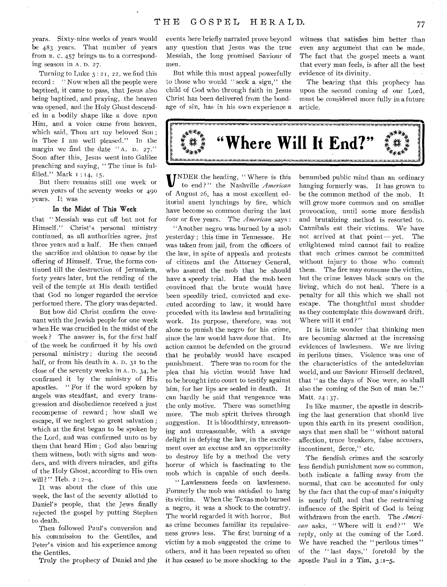years. Sixty-nine weeks of years would be 483 years. That number of years from B. C. 457 brings us to a corresponding season in A. D. 27.

Turning to Luke 3 : 2I, 22, we find this record : " Now when all the people were baptized, it came to pass, that Jesus also being baptized, and praying, the heaven was opened, and the Holy Ghost descended in a bodily shape like a dove upon Him, and a voice came from heaven, which said, Thou art my beloved Son ; in Thee I am well pleased." In the margin we find the date " A. D. 27." Soon after this, Jesus went into Galilee preaching and saying, " The time is fulfilled." Mark z : 14, 15.

But there remains still one week or seven years of the seventy weeks or 490 years. It was

### **In** the Midst of This Week

that " Messiah was cut off but not for Himself." Christ's personal ministry continued, as all authorities agree, just three years and a half. He then caused the sacrifice and oblation to cease by the offering of Himself. True, the forms continued till the destruction of Jerusalem, forty years later, but the rending of the veil of the temple at His death testified that God no longer regarded the service performed there. The glory was departed.

But how did Christ confirm the covenant with the Jewish people for one week when He was crucified in the midst of the week? The answer is, for the first half of the week he confirmed it by his owri personal ministry; during the second half, or from his death in A. D. 31 to the close of the seventy weeks in A. D. 34; he confirmed it by the ministry of His apostles. " For if the word spoken by angels was steadfast, and every transgression and disobedience received a just recompense of reward ; how shall we escape, if we neglect so great salvation ; which at the first began to be spoken by the Lord, and was confirmed unto us by them that heard Him ; God also bearing them witness, both with signs and wonders, and with divers miracles, and gifts of the Holy Ghost, according to His own will?" Heb.  $2:2-4$ .

It was about the close of this one week, the last of the seventy allotted to Daniel's people, that the Jews finally rejected the gospel by putting Stephen to death.

Then followed Paul's conversion and his commission to the Gentiles, and Peter's vision and his experience among the Gentiles.

Truly the prophecy of Daniel and the

events here briefly narrated prove beyond any question that Jesus was the true Messiah, the long promised Saviour of men.

But while this must appeal powerfully to those who would " seek a sign," the child of God who through faith in Jesus Christ has been delivered from the bondage of sin, has in his own experience a

witness that satisfies him better than even any argument that can be made. The fact that the gospel meets a want that every man feels, is after all the best evidence of its divinity.

The bearing that this prophecy has upon the second coming of our Lord, must be considered more fully in a future article.



**U**NDER the heading, "Where is this to end?" the Nashville *American* to end?" the Nashville *American* of August 26, has a most excellent editorial anent lynchings by fire, which have become so common during the last four or five years. The *American* says :

"Another negro was burned by a mob yesterday ; this time in Tennessee. He was taken from jail, from the officers of the law, in spite of appeals and protests of citizens and the Attorney General, who assured the mob that he should have a speedy trial. Had the mob been convinced that the brute would have been speedily tried, convicted and executed according to law, it would have proceded with its lawless and brutalizing work. Its purpose, therefore, was not alone to punish the negro for his crime, since the law would have done that. Its action cannot be defended on the ground that he probably would have escaped punishment. There was no room for the plea that his victim would have had to be brought into court to testify against him, for her lips are sealed in death. It can hardly be said that vengeance was the only motive. There was something more. The mob spirit thrives through suggestion. It is bloodthirsty, unreasoning and unreasonable, with a savage delight in defying the law, in the excitement over an excuse and an opportunity to destroy life by a method the very horror of which is fascinating to the mob which is capable of such deeds.

" Lawlessness feeds on lawlesness. Formerly the mob was satisfied to hang its victim. When the Texas mob burned a negro, it was a shock to the country. The world regarded it with horror. But as crime becomes familiar its repulsiveness grows less. The first burning of a victim by a mob suggested the crime to others, and it has been repeated so often it has ceased to be more shocking to the

benumbed public mind than an ordinary hanging formerly was. It has grown to be the common method of the mob. It will grow more common and on smaller provocation, until some more fiendish and brutalizing method is resorted to. Cannibals eat their victims. We have not arrived at that point — yet. The enlightened mind cannot fail to realize that such crimes cannot be committed without injury to those who commit them. The fire may consume the victim, but the crime leaves black scars on the living, which do not heal. There is a penalty for all this which we shall not escape. The thoughtful must shudder as they contemplate this downward drift. Where will it end?"

It is little wonder that thinking men are becoming alarmed at the increasing evidences of lawlesness. We are living in perilous times. Violence was one of the characteristics of the antedeluvian world, and our Saviour Himself declared, that " as the days of Noe were, so shall also the coming of the Son of man be." Matt. 24 : 37.

In like manner, the apostle in describing the last generation that should live upon this earth in its present condition, says that men shall be " without natural affection, truce breakers, false accusers, incontinent, fierce," etc.

The fiendish crimes and the scarcely less fiendish punishment now so common, both indicate a falling away from the normal, that can be accounted for only by the fact that the cup of man's iniquity is nearly full, and that the restraining influence of the Spirit of God is being withdrawn from the earth. The *American* asks, " Where will it end?" We reply, only at the coming of the Lord. We have reached the " perilous times" of the " last days," foretold by the apostle Paul in 2 Tim. 3 :1-5.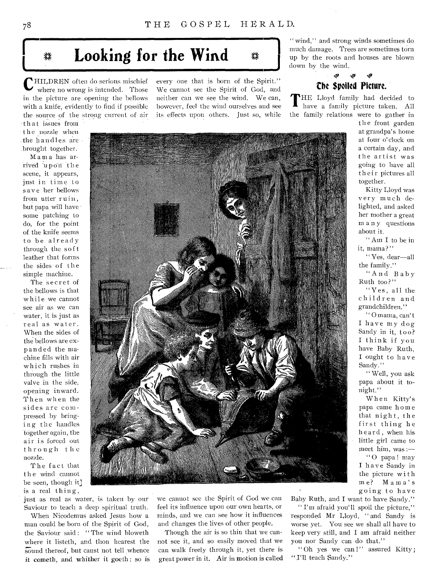# Looking for the Wind

**C**HILDREN often do serious mischief where no wrong is intended. Those where no wrong is intended. Those in the picture are opening the bellows with a knife, evidently to find if possible the source of the strong current of air,

th at issues from the nozzle when the handles are .brought together.

Mama has arrived upon the scene, it appears, just in time to save her bellows from utter ruin, but papa will have some patching to do, for the .point of the knife seems to be already through the soft leather that forms. the sides of the simple machine.

The secret of the bellows is that while we cannot see air as we can water, it is just as real as water. When the sides of the bellows are expanded the machine fills with air which rushes in through the little valve in the side, opening inward. Then when the sides arc compressed by bringing the handles together again, the air is forced out through the nozzle.

The fact that the wind cannot be seen, though it? is a real thing,

just as real as water, is taken by our Saviour to teach a deep spiritual truth.

When Nicodemus asked Jesus how a man could be born of the Spirit of God, the Saviour said: "The wind bloweth where it listeth, and thou hearest the sound thereof, but canst not tell whence it cometh, and whither it goeth: **so is** 

every one that is born of the Spirit." We cannot see the Spirit of God, and neither can we see the wind. We can, however, feel the wind ourselves and see its effects upon others. Just so, while

" wind," and strong winds sometimes do much damage. Trees are sometimes torn up by the roots and houses are blown down by the wind.

# ,49 the Spoiled Picture.

**T HE** Lloyd family had decided to have a family picture taken. All the family relations were to gather in

the front garden at grandpa's home at four o'clock on a certain day, and the artist was going to have all their pictures all together.

Kitty Lloyd was very much delighted, and asked her mother a great many questions about it.

" Am I to be in it, mama?"

" Yes, dear—all the family."

"And Baby Ruth too?"

"Yes, all the children and grandchildren."

" 0 mama, can't I have my dog Sandy in it, too? I think if you have Baby Ruth, I ought to have Sandy."

" Well, you ask papa about it tonight."

When Kitty's papa came home that night, the first thing he heard , when his little girl came to meet him, was :—

"O papa! may I have Sandy in the picture with me? Mama's going to have

we cannot see the Spirit of God we can feel its influence upon our own hearts, or minds, and we can see how it influences and changes the lives of other people.

Though the air is so thin that we cannot see it, and so easily moved that we can walk freely through it, yet there is great power in it. Air in motion is called Baby Ruth, and I want to have Sandy."

" I'm afraid you'll spoil the picture," responded Mr Lloyd, " and Sandy is worse yet. You see we shall all have to keep very still, and I am afraid neither you nor Sandy can do that."

"Oh yes we can!" assured Kitty; "I'll teach Sandy."

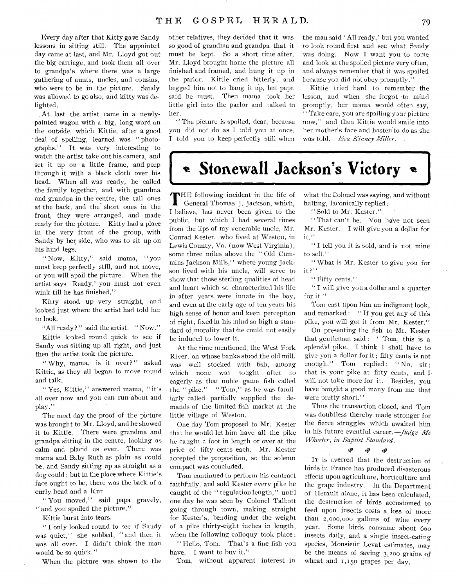Every day after that Kitty gave Sandy lessons in sitting still. The appointed day came at last, and Mr. Lloyd got out the big carriage, and took them all over to grandpa's where there was a large gathering of aunts, uncles, and cousins, who were to be in the picture. Sandy was allowed to go also, and kitty was delighted.

At last the artist came in a newlypainted wagon with a big, long word on the outside, which Kittie, after a good deal of spelling, learned was "photographs." It was very interesting to watch the artist take out his camera, and set it up on a little frame, and peep through it with a black cloth over his head. When all was ready, he called the family together, and with grandma and grandpa in the centre, the tall ones at the back, and the short ones in the front, they were arranged, and made ready for the picture. Kitty had a place in the very front of the group, with Sandy by her side, who was to sit up on his hind legs.

" Now, Kitty," said mama, " you must keep perfectly still, and not move, or you will spoil the picture. When the artist says ' Ready,' you must not even wink till he has finished."

Kitty stood up very straight, and looked just where the artist had told her to look.

"All ready?" said the artist. "Now."

Kittie looked round quick to see if Sandy was sitting up all right, and just then the artist took the picture.

" Why, mama, is it over?" asked Kittie, as they all began to move round and talk.

Yes, Kittie," answered mama, " it's all over now and you can run about and play."

The next day the proof of the picture was brought to Mr. Lloyd, and he showed it to Kittie, There were grandma and grandpa sitting in the centre, looking as calm and placid as ever. There was mama and Baby Ruth as plain as could be, and Sandy sitting up as straight as a dog could ; but in the place where Kittie' s face ought to be, there was the back of a curly head and a blur.

"You moved," said papa gravely, " and you spoiled the picture."

Kittie burst into tears.

" I only looked round to see if Sandy was quiet," she sobbed, " and then it was all over. I didn't think the man would be so quick."

When the picture was shown to the

other relatives, they decided that it was so good of grandma and grandpa that it must be kept. So a short time after, Mr. Lloyd brought home the picture all finished and framed, and hung it up in the parlor. Kittie cried bitterly, and begged him not to hang it up, but papa said he must. Then mama took her little girl into the parlor and talked to her.

" The picture is spoiled, dear, because you did not do as I told you at once. I told you to keep perfectly still when

the man said ' All ready,' but you wanted to look round first and see what Sandy was doing. Now I want you to come and look at the spoiled picture very often, and always remember that it was spoiled because you did not obey promptly."

Kittie tried hard to remember the lesson, and when she forgot to mind promptly, her mama would often say, " Take care, you are spoiling your picture now," and then Kittie would smile into her mother's face and hasten to do as she was told.—Eva *Kinney Miller.* 

**Stonewall Jackson's Victory** 

THE following incident in the life of General Thomas J. Jackson, which, General Thomas J. Jackson, which, I believe, has never been given to the public, but which I had several times from the lips of my venerable uncle, Mr. Conrad Kester, who lived at Weston, in Lewis County, Va. (now West Virginia), some three miles above the " Old Cummins Jackson Mills," where young Jackson lived with his uncle, will serve to show that those sterling qualities of head and heart which so characterized his life in after years were innate in the boy, and even at the early age of ten years his high sense of honor and keen perception of right, fixed in his mind so high a standard of morality that he could not easily be induced to lower it.

At the time mentioned, the West Fork River, on whose banks stood the old mill, was well stocked with fish, among which none was sought after so eagerly as that noble game fish called the " pike." " Tom," as he was familiarly called partially supplied the demands of the limited fish market at the little village of Weston.

One day Tom proposed to Mr. Kester that he would let him have all the pike he caught a foot in length or over at the price of fifty cents each. Mr. Kester accepted the proposition, so the solemn compact was concluded.

Tom continued to perform his contract faithfully, and sold Kester every pike he caught of the " regulation length," until one day he was seen by Colonel Talbott going through town, making straight for Kester's, bending under the weight of a pike thirty-eight inches in length, when the following colloquy took place :

" Hello, Tom. That's a fine fish you have. I want to buy it."

Tom, without apparent interest in

what the Colonel was saying, and without halting, laconically replied :

" Sold to Mr. Kester."

"That can't be. You have not seen Mr. Kester. I will give you a dollar for it."

" I tell you it is sold, and is not mine to sell."

" What is Mr. Kester to give yott for it?"

" Fifty cents."

" I will give you a dollar and a quarter for it."

Tom cast upon him an indignant look, and remarked : " If you get any of this pike, you will get it from Mr. Kester."

On presenting the fish to Mr. Kester that gentleman said : " Tom, this is a splendid pike. I think I shall have to give you a dollar for it ; fifty cents is not enough." Tom replied: "No, sir; that is your pike at fifty cents, and I will not take more for it. Besides, you have bought a good many from me that were pretty short."

Thus the transaction closed, and Tom was doubtless thereby made stronger for the fierce struggles which awaited him in his future eventful career.—Judge *Mc Whorter, in Baptist Standard.* 

### $\hat{r}_\text{p}$  the  $\hat{r}_\text{p}$

IT is averred that the destruction of birds in France has produced disasterous effects upon agriculture, horticulture and the grape industry. In the Department of Herault alone, it has been calculated, the destruction of birds accustomed to feed upon insects costs a loss of more than 2,000,000 gallons of wine every year. Some birds consume about 600 insects daily, and a single insect-eating species, Monsieur Levat estimates, may be the means of saving  $3,200$  grains of wheat and 1,150 grapes per day.